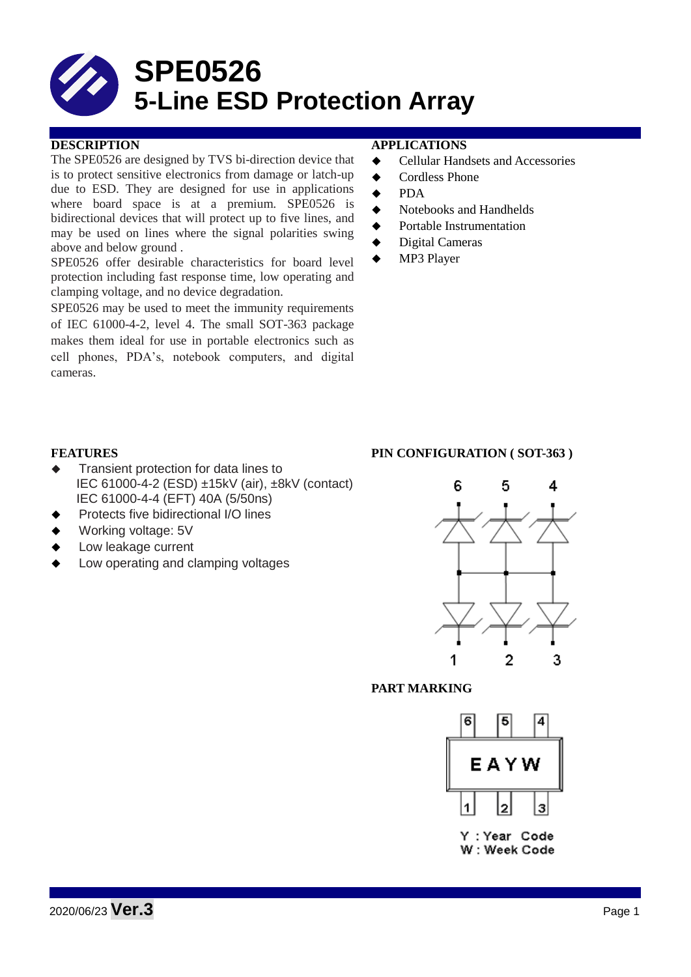

## **DESCRIPTION APPLICATIONS**

The SPE0526 are designed by TVS bi-direction device that is to protect sensitive electronics from damage or latch-up due to ESD. They are designed for use in applications where board space is at a premium. SPE0526 is bidirectional devices that will protect up to five lines, and may be used on lines where the signal polarities swing above and below ground .

SPE0526 offer desirable characteristics for board level protection including fast response time, low operating and clamping voltage, and no device degradation.

SPE0526 may be used to meet the immunity requirements of IEC 61000-4-2, level 4. The small SOT-363 package makes them ideal for use in portable electronics such as cell phones, PDA's, notebook computers, and digital cameras.

- ◆ Cellular Handsets and Accessories
- ◆ Cordless Phone
- $\bullet$  PDA
- Notebooks and Handhelds
- Portable Instrumentation
- Digital Cameras
- ◆ MP3 Player

- Transient protection for data lines to IEC 61000-4-2 (ESD) ±15kV (air), ±8kV (contact) IEC 61000-4-4 (EFT) 40A (5/50ns)
- Protects five bidirectional I/O lines
- Working voltage: 5V
- Low leakage current
- Low operating and clamping voltages

## **FEATURES PIN CONFIGURATION ( SOT-363 )**



# **PART MARKING**



Y: Year Code W: Week Code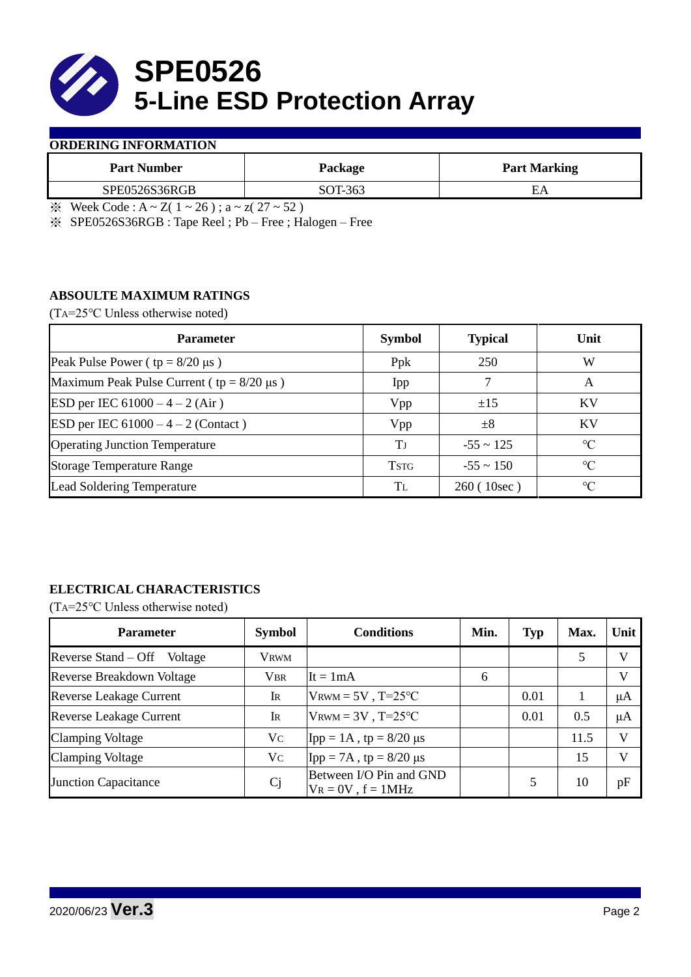

## **ORDERING INFORMATION**

| <b>Part Number</b> | <b>Package</b> | <b>Part Marking</b> |
|--------------------|----------------|---------------------|
| SPE0526S36RGB      | SOT-363        |                     |

 $\frac{1}{2}$  Week Code : A ~ Z( 1 ~ 26); a ~ z( 27 ~ 52)

※ SPE0526S36RGB : Tape Reel ; Pb – Free ; Halogen – Free

# **ABSOULTE MAXIMUM RATINGS**

(TA=25℃ Unless otherwise noted)

| <b>Parameter</b>                                 | <b>Symbol</b> | <b>Typical</b> | Unit            |  |
|--------------------------------------------------|---------------|----------------|-----------------|--|
| Peak Pulse Power ( $tp = 8/20 \mu s$ )           | Ppk           | 250            | W               |  |
| Maximum Peak Pulse Current ( $tp = 8/20 \mu s$ ) | Ipp           |                | A               |  |
| ESD per IEC $61000 - 4 - 2$ (Air)                | Vpp           | ±15            | <b>KV</b>       |  |
| <b>ESD</b> per IEC $61000 - 4 - 2$ (Contact)     | Vpp           | $\pm 8$        | KV              |  |
| <b>Operating Junction Temperature</b>            | Tі            | $-55 \sim 125$ | $\rm ^{\circ}C$ |  |
| <b>Storage Temperature Range</b>                 | <b>TSTG</b>   | $-55 \sim 150$ | $\rm ^{\circ}C$ |  |
| Lead Soldering Temperature                       | Tī.           | 260(10sec)     | $\rm ^{\circ}C$ |  |

# **ELECTRICAL CHARACTERISTICS**

(TA=25℃ Unless otherwise noted)

| <b>Parameter</b>                 | <b>Symbol</b> | <b>Conditions</b>                                  | Min. | <b>Typ</b> | Max. | Unit         |
|----------------------------------|---------------|----------------------------------------------------|------|------------|------|--------------|
| Reverse Stand – Off<br>Voltage   | <b>VRWM</b>   |                                                    |      |            |      | V            |
| <b>Reverse Breakdown Voltage</b> | <b>VBR</b>    | It = $1mA$                                         | 6    |            |      | $\mathbf{V}$ |
| <b>Reverse Leakage Current</b>   | IR            | $V_{\text{RWM}} = 5V$ , T=25°C                     |      | 0.01       |      | μA           |
| <b>Reverse Leakage Current</b>   | IR            | $V_{\text{RWM}} = 3V$ , T=25°C                     |      | 0.01       | 0.5  | μA           |
| <b>Clamping Voltage</b>          | Vc            | Ipp = $1A$ , tp = $8/20 \mu s$                     |      |            | 11.5 | V            |
| <b>Clamping Voltage</b>          | Vc            | Ipp = $7A$ , tp = $8/20 \mu s$                     |      |            | 15   | $\mathbf{V}$ |
| <b>Junction Capacitance</b>      | Cj            | Between I/O Pin and GND<br>$V_R = 0V$ , $f = 1MHz$ |      |            | 10   | pF           |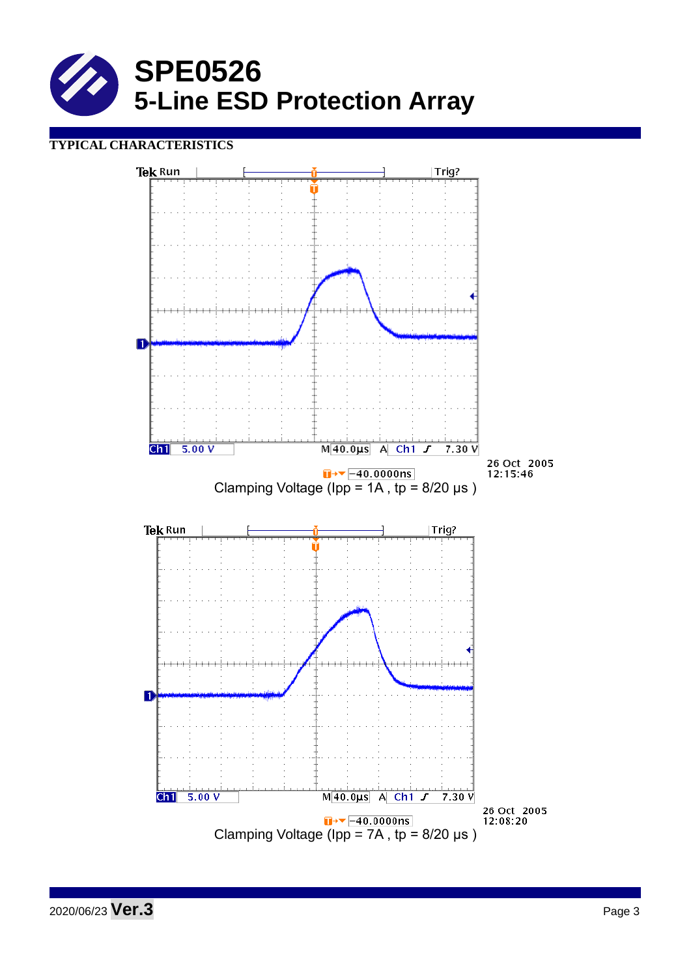

# **TYPICAL CHARACTERISTICS**

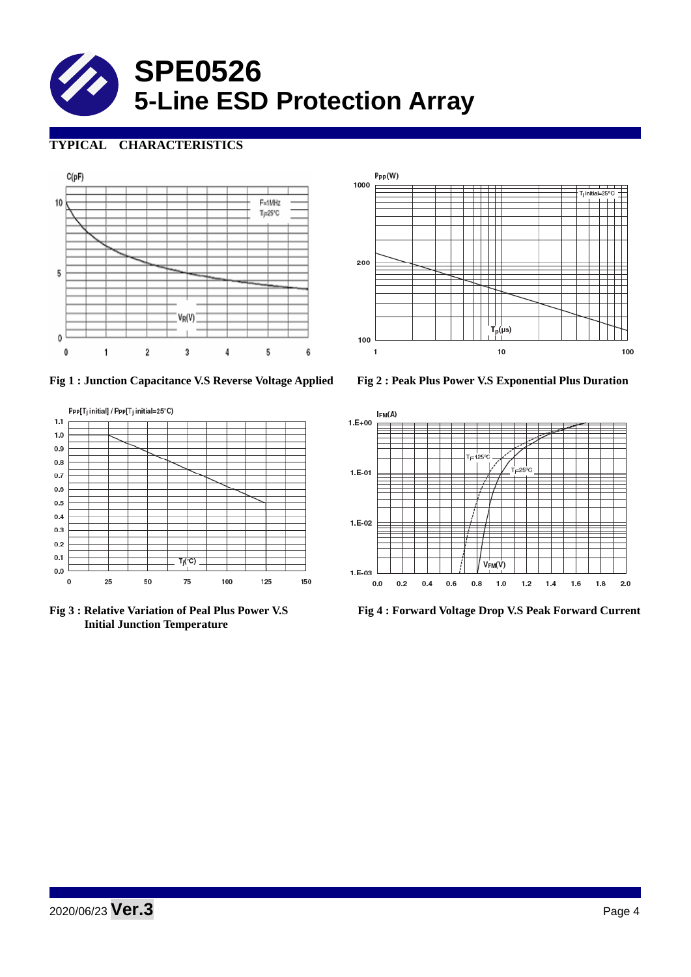

# **TYPICAL CHARACTERISTICS**





**Fig 1 : Junction Capacitance V.S Reverse Voltage Applied Fig 2 : Peak Plus Power V.S Exponential Plus Duration**



 **Initial Junction Temperature** 



**Fig 3 : Relative Variation of Peal Plus Power V.S Fig 4 : Forward Voltage Drop V.S Peak Forward Current**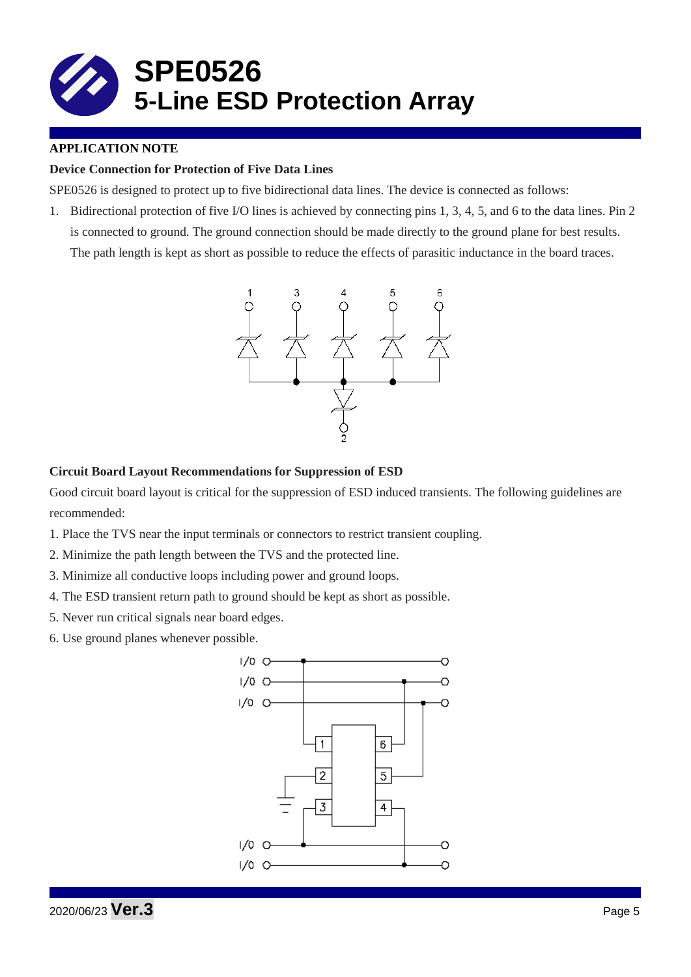

# **APPLICATION NOTE**

# **Device Connection for Protection of Five Data Lines**

SPE0526 is designed to protect up to five bidirectional data lines. The device is connected as follows:

1. Bidirectional protection of five I/O lines is achieved by connecting pins 1, 3, 4, 5, and 6 to the data lines. Pin 2 is connected to ground. The ground connection should be made directly to the ground plane for best results. The path length is kept as short as possible to reduce the effects of parasitic inductance in the board traces.



#### **Circuit Board Layout Recommendations for Suppression of ESD**

Good circuit board layout is critical for the suppression of ESD induced transients. The following guidelines are recommended:

- 1. Place the TVS near the input terminals or connectors to restrict transient coupling.
- 2. Minimize the path length between the TVS and the protected line.
- 3. Minimize all conductive loops including power and ground loops.
- 4. The ESD transient return path to ground should be kept as short as possible.
- 5. Never run critical signals near board edges.
- 6. Use ground planes whenever possible.